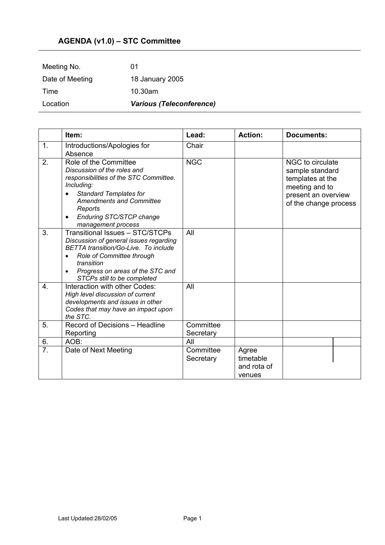## **AGENDA (v1.0) – STC Committee**

| Location        | <b>Various (Teleconference)</b> |  |  |
|-----------------|---------------------------------|--|--|
| Time            | 10.30am                         |  |  |
| Date of Meeting | 18 January 2005                 |  |  |
| Meeting No.     | 01                              |  |  |

|                  | Item:                                                                                                                                                                                                                                                      | Lead:                  | <b>Action:</b>                              | <b>Documents:</b>                                                                                                         |
|------------------|------------------------------------------------------------------------------------------------------------------------------------------------------------------------------------------------------------------------------------------------------------|------------------------|---------------------------------------------|---------------------------------------------------------------------------------------------------------------------------|
| 1.               | Introductions/Apologies for<br>Absence                                                                                                                                                                                                                     | Chair                  |                                             |                                                                                                                           |
| 2.               | Role of the Committee<br>Discussion of the roles and<br>responsibilities of the STC Committee.<br>Including:<br><b>Standard Templates for</b><br><b>Amendments and Committee</b><br>Reports<br>Enduring STC/STCP change<br>$\bullet$<br>management process | <b>NGC</b>             |                                             | NGC to circulate<br>sample standard<br>templates at the<br>meeting and to<br>present an overview<br>of the change process |
| 3.               | Transitional Issues - STC/STCPs<br>Discussion of general issues regarding<br>BETTA transition/Go-Live. To include<br>Role of Committee through<br>transition<br>Progress on areas of the STC and<br>$\bullet$<br>STCPs still to be completed               | All                    |                                             |                                                                                                                           |
| $\overline{4}$ . | Interaction with other Codes:<br>High level discussion of current<br>developments and issues in other<br>Codes that may have an impact upon<br>the STC.                                                                                                    | All                    |                                             |                                                                                                                           |
| 5.               | Record of Decisions - Headline<br>Reporting                                                                                                                                                                                                                | Committee<br>Secretary |                                             |                                                                                                                           |
| 6.               | AOB:                                                                                                                                                                                                                                                       | All                    |                                             |                                                                                                                           |
| $\overline{7}$ . | Date of Next Meeting                                                                                                                                                                                                                                       | Committee<br>Secretary | Agree<br>timetable<br>and rota of<br>venues |                                                                                                                           |